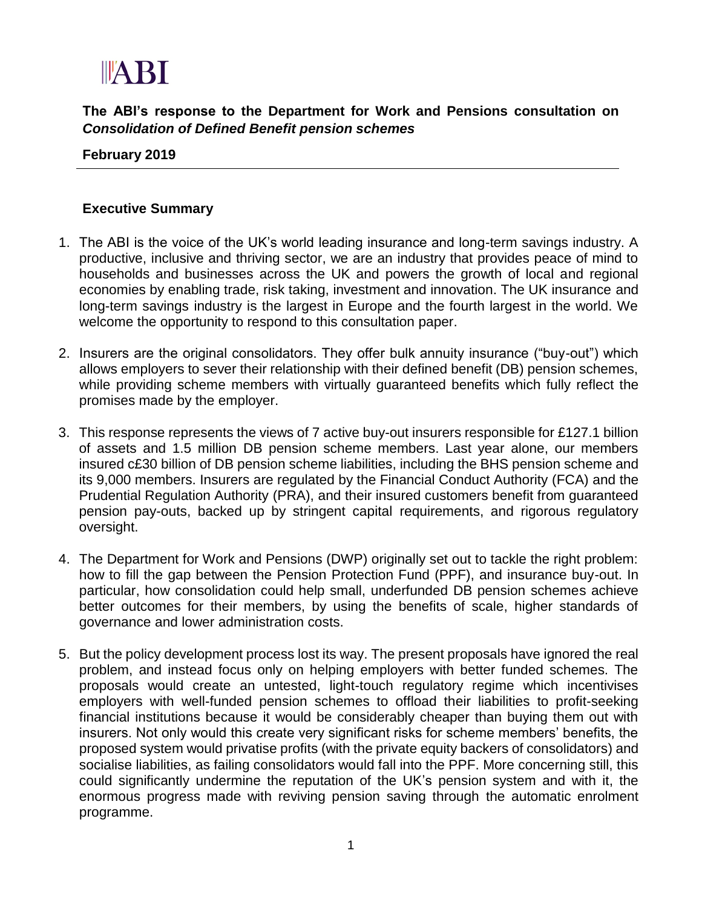## $\mathbb{H}$ ABI

**The ABI's response to the Department for Work and Pensions consultation on**  *Consolidation of Defined Benefit pension schemes* 

**February 2019**

## **Executive Summary**

- 1. The ABI is the voice of the UK's world leading insurance and long-term savings industry. A productive, inclusive and thriving sector, we are an industry that provides peace of mind to households and businesses across the UK and powers the growth of local and regional economies by enabling trade, risk taking, investment and innovation. The UK insurance and long-term savings industry is the largest in Europe and the fourth largest in the world. We welcome the opportunity to respond to this consultation paper.
- 2. Insurers are the original consolidators. They offer bulk annuity insurance ("buy-out") which allows employers to sever their relationship with their defined benefit (DB) pension schemes, while providing scheme members with virtually guaranteed benefits which fully reflect the promises made by the employer.
- 3. This response represents the views of 7 active buy-out insurers responsible for £127.1 billion of assets and 1.5 million DB pension scheme members. Last year alone, our members insured c£30 billion of DB pension scheme liabilities, including the BHS pension scheme and its 9,000 members. Insurers are regulated by the Financial Conduct Authority (FCA) and the Prudential Regulation Authority (PRA), and their insured customers benefit from guaranteed pension pay-outs, backed up by stringent capital requirements, and rigorous regulatory oversight.
- 4. The Department for Work and Pensions (DWP) originally set out to tackle the right problem: how to fill the gap between the Pension Protection Fund (PPF), and insurance buy-out. In particular, how consolidation could help small, underfunded DB pension schemes achieve better outcomes for their members, by using the benefits of scale, higher standards of governance and lower administration costs.
- 5. But the policy development process lost its way. The present proposals have ignored the real problem, and instead focus only on helping employers with better funded schemes. The proposals would create an untested, light-touch regulatory regime which incentivises employers with well-funded pension schemes to offload their liabilities to profit-seeking financial institutions because it would be considerably cheaper than buying them out with insurers. Not only would this create very significant risks for scheme members' benefits, the proposed system would privatise profits (with the private equity backers of consolidators) and socialise liabilities, as failing consolidators would fall into the PPF. More concerning still, this could significantly undermine the reputation of the UK's pension system and with it, the enormous progress made with reviving pension saving through the automatic enrolment programme.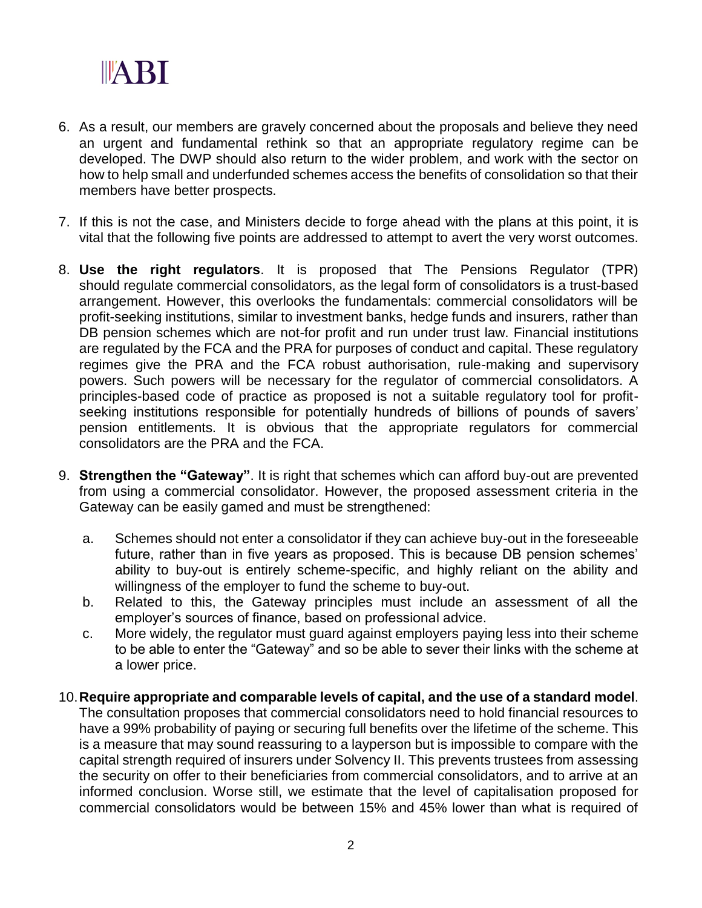

- 6. As a result, our members are gravely concerned about the proposals and believe they need an urgent and fundamental rethink so that an appropriate regulatory regime can be developed. The DWP should also return to the wider problem, and work with the sector on how to help small and underfunded schemes access the benefits of consolidation so that their members have better prospects.
- 7. If this is not the case, and Ministers decide to forge ahead with the plans at this point, it is vital that the following five points are addressed to attempt to avert the very worst outcomes.
- 8. **Use the right regulators**. It is proposed that The Pensions Regulator (TPR) should regulate commercial consolidators, as the legal form of consolidators is a trust-based arrangement. However, this overlooks the fundamentals: commercial consolidators will be profit-seeking institutions, similar to investment banks, hedge funds and insurers, rather than DB pension schemes which are not-for profit and run under trust law. Financial institutions are regulated by the FCA and the PRA for purposes of conduct and capital. These regulatory regimes give the PRA and the FCA robust authorisation, rule-making and supervisory powers. Such powers will be necessary for the regulator of commercial consolidators. A principles-based code of practice as proposed is not a suitable regulatory tool for profitseeking institutions responsible for potentially hundreds of billions of pounds of savers' pension entitlements. It is obvious that the appropriate regulators for commercial consolidators are the PRA and the FCA.
- 9. **Strengthen the "Gateway"**. It is right that schemes which can afford buy-out are prevented from using a commercial consolidator. However, the proposed assessment criteria in the Gateway can be easily gamed and must be strengthened:
	- a. Schemes should not enter a consolidator if they can achieve buy-out in the foreseeable future, rather than in five years as proposed. This is because DB pension schemes' ability to buy-out is entirely scheme-specific, and highly reliant on the ability and willingness of the employer to fund the scheme to buy-out.
	- b. Related to this, the Gateway principles must include an assessment of all the employer's sources of finance, based on professional advice.
	- c. More widely, the regulator must guard against employers paying less into their scheme to be able to enter the "Gateway" and so be able to sever their links with the scheme at a lower price.
- 10.**Require appropriate and comparable levels of capital, and the use of a standard model**. The consultation proposes that commercial consolidators need to hold financial resources to have a 99% probability of paying or securing full benefits over the lifetime of the scheme. This is a measure that may sound reassuring to a layperson but is impossible to compare with the capital strength required of insurers under Solvency II. This prevents trustees from assessing the security on offer to their beneficiaries from commercial consolidators, and to arrive at an informed conclusion. Worse still, we estimate that the level of capitalisation proposed for commercial consolidators would be between 15% and 45% lower than what is required of